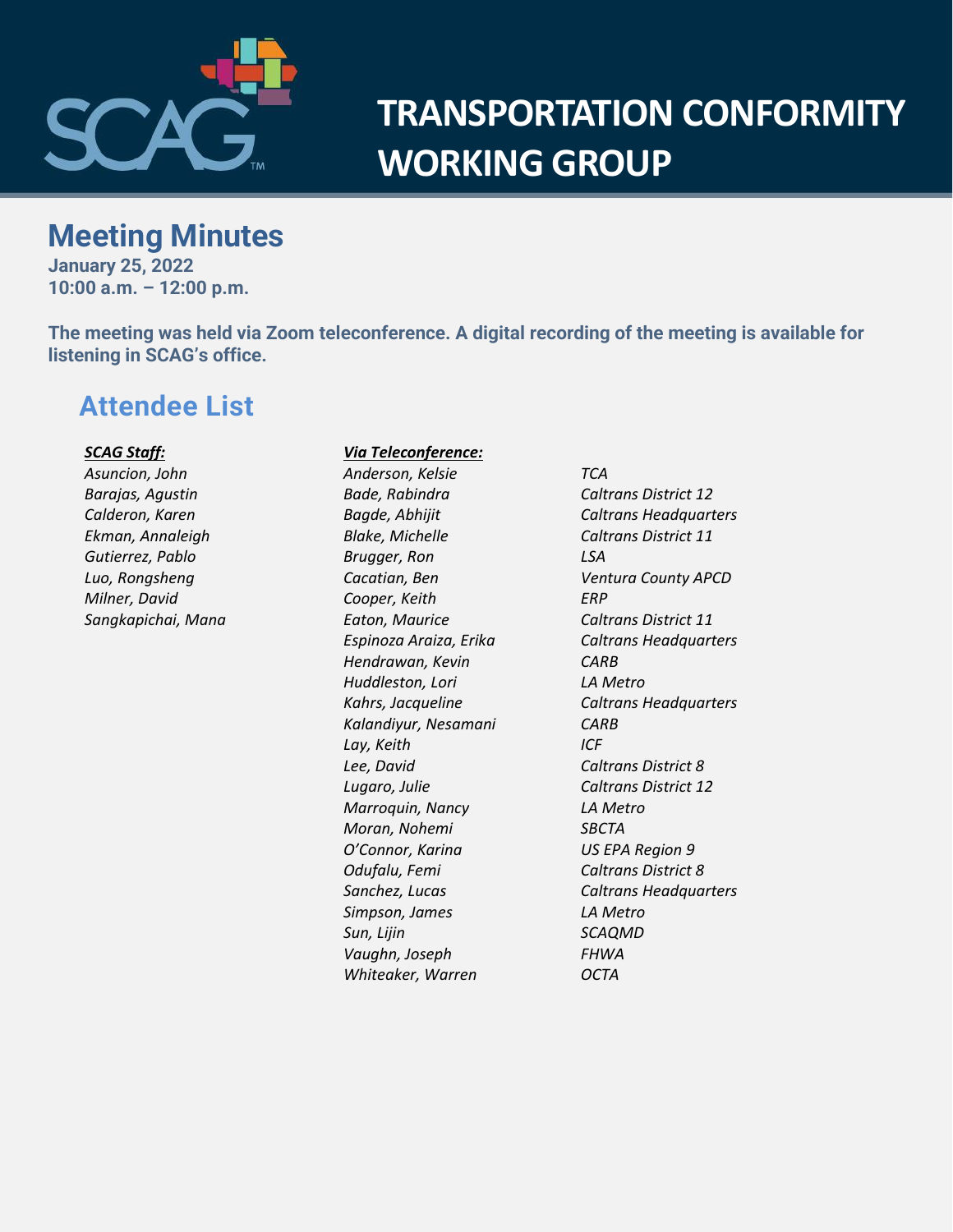

# **TRANSPORTATION CONFORMITY WORKING GROUP**

## **Meeting Minutes**

**January 25, 2022 10:00 a.m. – 12:00 p.m.**

**The meeting was held via Zoom teleconference. A digital recording of the meeting is available for listening in SCAG's office.**

## **Attendee List**

#### *SCAG Staff:*

*Asuncion, John Barajas, Agustin Calderon, Karen Ekman, Annaleigh Gutierrez, Pablo Luo, Rongsheng Milner, David Sangkapichai, Mana*

#### *Via Teleconference:*

*Anderson, Kelsie TCA Bade, Rabindra Caltrans District 12 Blake, Michelle Caltrans District 11 Brugger, Ron LSA Cooper, Keith ERP Eaton, Maurice Caltrans District 11 Hendrawan, Kevin CARB Huddleston, Lori LA Metro Kalandiyur, Nesamani CARB Lay, Keith ICF Lee, David Caltrans District 8 Lugaro, Julie Caltrans District 12 Marroquin, Nancy LA Metro Moran, Nohemi SBCTA O'Connor, Karina US EPA Region 9 Odufalu, Femi Caltrans District 8 Simpson, James LA Metro Sun, Lijin SCAQMD Vaughn, Joseph FHWA Whiteaker, Warren OCTA*

*Bagde, Abhijit Caltrans Headquarters Cacatian, Ben Ventura County APCD Espinoza Araiza, Erika Caltrans Headquarters Kahrs, Jacqueline Caltrans Headquarters Sanchez, Lucas Caltrans Headquarters*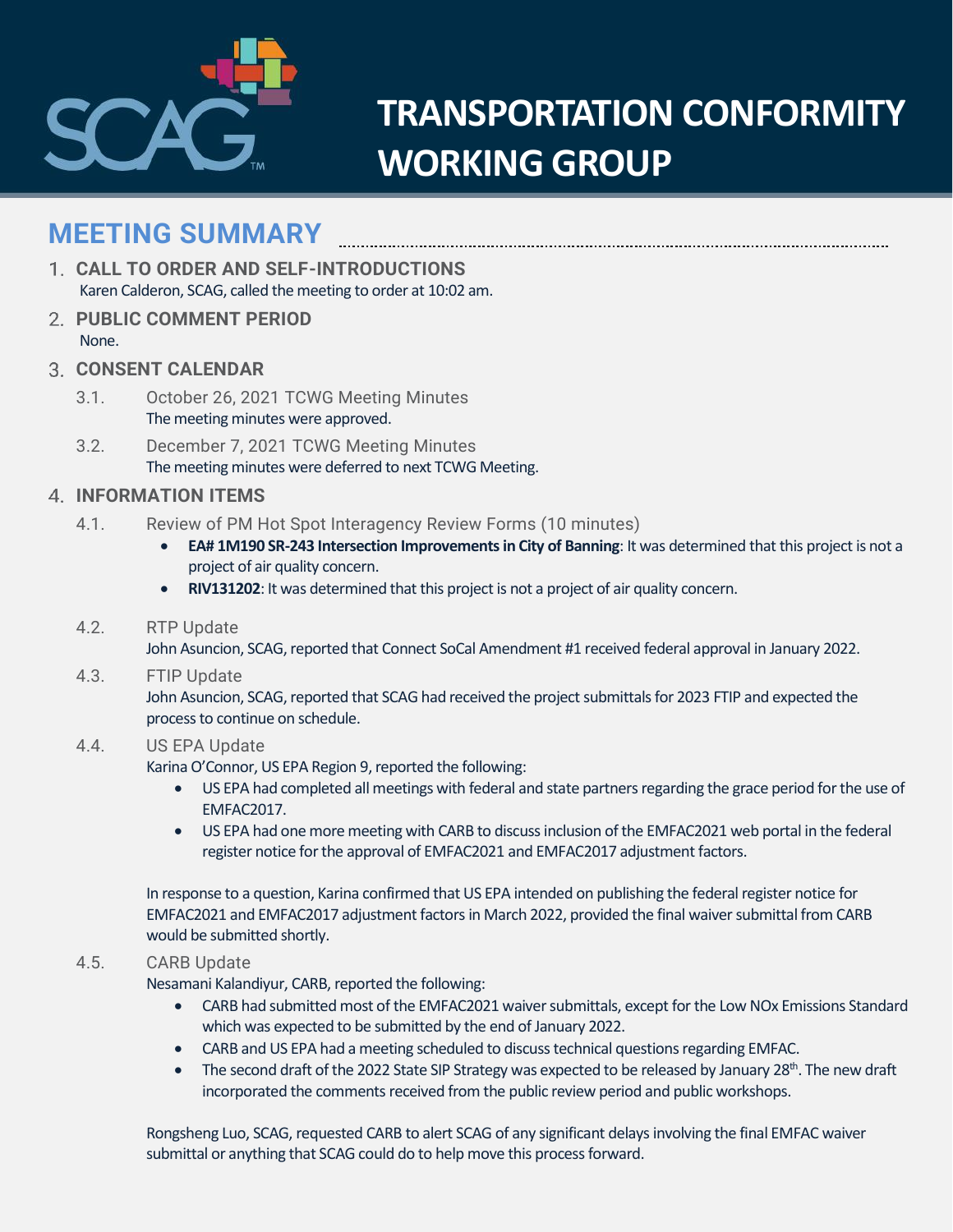

# **TRANSPORTATION CONFORMITY WORKING GROUP**

## **MEETING SUMMARY**

- **CALL TO ORDER AND SELF-INTRODUCTIONS** Karen Calderon, SCAG, called the meeting to order at 10:02 am.
- **PUBLIC COMMENT PERIOD** None.
- **CONSENT CALENDAR**
	- 3.1. October 26, 2021 TCWG Meeting Minutes The meeting minutes were approved.
	- 3.2. December 7, 2021 TCWG Meeting Minutes The meeting minutes were deferred to next TCWG Meeting.

### **INFORMATION ITEMS**

- 4.1. Review of PM Hot Spot Interagency Review Forms (10 minutes)
	- **EA# 1M190 SR-243 Intersection Improvements in City of Banning**: It was determined that this project is not a project of air quality concern.
	- **RIV131202**: It was determined that this project is not a project of air quality concern.

#### 4.2. RTP Update

John Asuncion, SCAG, reported that Connect SoCal Amendment #1 received federal approval in January 2022.

#### 4.3. FTIP Update

John Asuncion, SCAG, reported that SCAG had received the project submittals for 2023 FTIP and expected the process to continue on schedule.

### 4.4. US EPA Update

Karina O'Connor, US EPA Region 9, reported the following:

- US EPA had completed all meetings with federal and state partners regarding the grace period for the use of EMFAC2017.
- US EPA had one more meeting with CARB to discussinclusion of the EMFAC2021 web portal in the federal register notice for the approval of EMFAC2021 and EMFAC2017 adjustment factors.

In response to a question, Karina confirmed that US EPA intended on publishing the federal register notice for EMFAC2021 and EMFAC2017 adjustment factors in March 2022, provided the final waiver submittal from CARB would be submitted shortly.

#### 4.5. CARB Update

Nesamani Kalandiyur, CARB, reported the following:

- CARB had submitted most of the EMFAC2021 waiver submittals, except for the Low NOx Emissions Standard which was expected to be submitted by the end of January 2022.
- CARB and US EPA had a meeting scheduled to discuss technical questions regarding EMFAC.
- The second draft of the 2022 State SIP Strategy was expected to be released by January 28<sup>th</sup>. The new draft incorporated the comments received from the public review period and public workshops.

Rongsheng Luo, SCAG, requested CARB to alert SCAG of any significant delays involving the final EMFAC waiver submittal or anything that SCAG could do to help move this process forward.